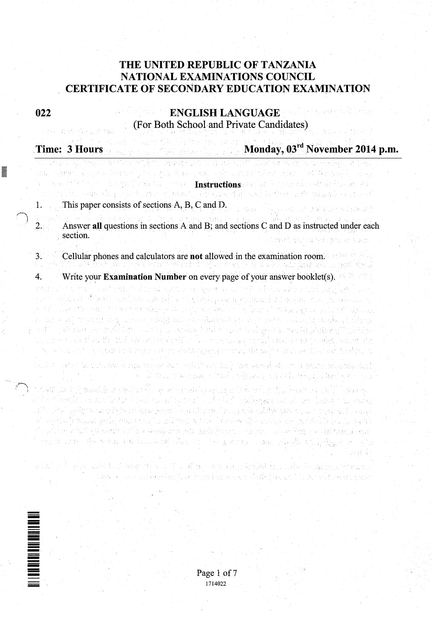# THE UNITED REPUBLIC OF TANZANIA NATIONAL EXAMINATIONS COUNCIL CERTIFICATE OF SECONDARY EDUCATION EXAMINATION

022

I

# ENGLISH LANGUAGE (For Both School.and Private Candidates)

|                | an same i que terrol, el, ris bas sob servitar con calibra politica d                                                                                                                                                                                                                                                                                                                                                         | 活,是GBS,可以做好。 网络维尔斯德德意思 网络埃勒格罗克 化二硫酸盐 经财产证明 医细胞原子 医心包膜 经市场发展 医心腹炎<br>Large Control (1989) Instructions and large an electric funding and<br>પરંતુકા એક દૂધ વર્ષની જેવા તેવી જાય જ્યારે કહેવા પ્રદૂષની શ્રી ધાવવાની દિવસે પણ પાણી વસ્તું હતા કે, સારતની |
|----------------|-------------------------------------------------------------------------------------------------------------------------------------------------------------------------------------------------------------------------------------------------------------------------------------------------------------------------------------------------------------------------------------------------------------------------------|-------------------------------------------------------------------------------------------------------------------------------------------------------------------------------------------------------------------------------------------------------|
|                | This paper consists of sections A, B, C and D.                                                                                                                                                                                                                                                                                                                                                                                | 计中心检查法 法保障条件 医乙烯酸异戊                                                                                                                                                                                                                                   |
| 2.             | Answer all questions in sections A and B; and sections C and D as instructed under each<br>section.                                                                                                                                                                                                                                                                                                                           |                                                                                                                                                                                                                                                       |
| 3 <sub>1</sub> | Cellular phones and calculators are not allowed in the examination room.                                                                                                                                                                                                                                                                                                                                                      |                                                                                                                                                                                                                                                       |
| 4.             | Write your <b>Examination Number</b> on every page of your answer booklet(s).                                                                                                                                                                                                                                                                                                                                                 |                                                                                                                                                                                                                                                       |
|                | stan al Solita Cosaforti Alvani national year accordo de lovados bishodos de<br>por te ankaziske Marske ovačelovan oghedoj u vrej povjetaju za drugi vrejskah koledarja je za veljala kontrakt<br>e admilia estimolas stromanlar algebra de energinal de um cellinas d'integrització i del calibrato del del seg<br>n som et av synapoly dag ta gener honggelasit en egilbaholik get om hyggelst tetalla gortallade af døy no | anë të valori me verkë tare e të të një me derë i për mangë të së qytë të ryesistë jetytë deqit të të<br>t the power and of wanter incident professor (see the profession of a factor data stand proposition and who th                               |

الموقعات المساوي والأعمام والمساوية والمعارفة والمستعمر والمتعارف والمستعار والمتحدث والمستعرفان والمعارفة والمتح kangka sa kata katiga kata a kalipokata a katiga kabibang aka kata kata kata kata aka sa kata sa ka r 1967 geldproet mei de frankligger ferger. Frysk is tritte stor sig alde fisklige fiske elkels it oppke det h al segistival) slovan izvila, bolen sela la lalitstade segista lenkoda eller manteva av ledet bele komta segis the plumer of that a to constitutional commitments and the policy of the policy of the significant of experiment ara di 1935 - Archivitas chi kassekal chine in checa come a papa cheoldo in 1983, sc of the Monday and the second second second second second second second second second second second second second second second second second second second second second second second second second second second second seco

机弹 医粘液性脑炎 化原油 异种精制 法无利的 医原子科



1714022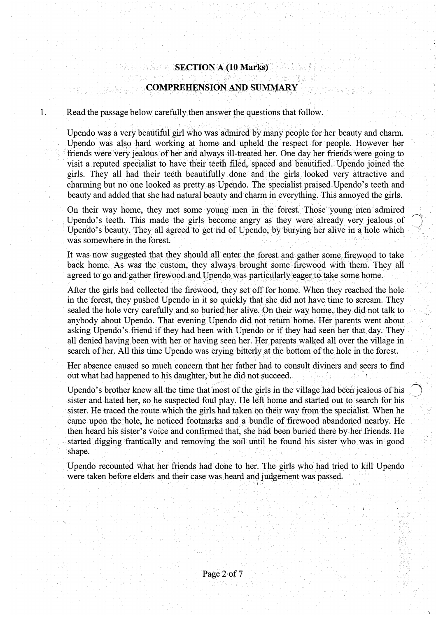# $SECTION A (10 Marks)$ COMPREHENSIONA�D SUMMARY

1. Read the passage below carefully then answer the questions that follow.

. Participation

Upendo was avery beautiful girl who was admired by many people for her beauty and charm. Upendo was also hard working at home and upheld the respect for people. However her friends were very jealous of her and always ill-treated her. One day her friends were going to visit a reputed specialist to have their teeth filed, spaced and beautified. Upendo joined the girls. They all had their teeth beautifully done and the girls looked very attractive and charming but no one looked as pretty as Upendo. The specialist praised Upendo's teeth and beauty and added that she had natural beauty and charm in everything. This annoyed the girls.

On their way home, they met some young men in the forest. Those young men admired Upendo's teeth. This made the girls become angry as they were already very jealous of Upendo's beauty. They all agreed to get rid of Upendo, by burying her alive in a hole which was somewhere in the forest.

It was now suggested that they should all enter the forest and gather some firewood to take back home. As was the custom, they always brought some firewood with them. They all agreed to go and gather firewood and Upendo was particularly eager to take some home.

After the girls had collected the firewood, they set off for home. When they reached the hole in the forest, they pushed Upendo in it so quickly that she did not have time to scream. They sealed the hole very carefully and so buried her alive. On their way home, they did not talk to anybody about Upendo. That evening Upendo did not return home. Her parents went about asking Upendo's friend if they had been with Upendo or if t<sup>h</sup>ey had seen her that day. They all denied having been with her or having seen her. Her parents walked all over the village in search of her. All this time Upendo was crying bitterly at the bottom of the hole in the forest.

Her absence caused so much concern that her father had to consult diviners and seers to find out what had happened to his daughter, but he did not succeed.

 $\bigcirc$  .

Upendo's brother knew all the time that most of the girls in the village had been:jealous of his sister and hated her, so he suspected foul play. He left home and started out to search for his sister. He traced the route which the girls had taken on their way from the specialist. When he came upon the hole, he noticed footmarks and a bundle of firewood abandoned nearby. He then heard his sister's voice and confirmed that, she had been buried there by her friends. He started digging frantically and removing the soil until he found his sister who was in good ·shape.

Upendo recounted what her friends had done to her. The girls who had tried to kill Upendo were taken before elders and their case was heard and judgement was passed.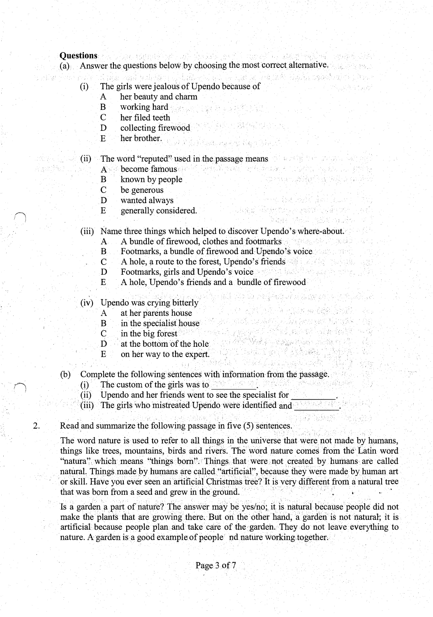## Ouestions and the state defended with a construction of the second

- (a) Answer the questions below by choosing the mostcorrectalternative,
	-
	- (i) The girls were jealous of Upendo because of
		- A her beauty and charm
		- B working hard
		- C her filed teeth
		- D collecting firewood
		- E her brother. We had been explored by the
	- (ii) The word "reputed'' used in the.passage means
		- A become famous and it was a present and the contract of the first product
		- B known by people
		- C be generous
		- D wanted always
		- E generally considered.
	- (iii) Name three things which helped to discover Upendo's where-about.

Tarikan Light, gina Hora Neb

stand and a company for the second series. 计图形 医心脏病 医乳糖

43

Tunga Tingkatu je posti Pijija na P Sawi k

ratif hocketil och persont til gikk gang adalah sahiji dan kalendar dan menggalam kalendar dan sama dan sama dan salah salah salah salah salah sah<br>Salah salah salah salah salah salah salah salah salah salah salah salah salah salah salah salah salah salah sa Verkal in der gegen in den der Stadt und der Stadt und der Stadt und der Stadt und der Stadt und der Stadt und<br>Stadt und der Stadt und der Stadt und der Stadt und der Stadt und der Stadt und der Stadt und der Stadt und de S ANY ARAWAY

- A A bundle of firewood, clothes and footmarks<br>B Footmarks, a bundle of firewood and Upendo's voice
	- Footmarks, a bundle of firewood and Upendo's voice
- C A hole, a route to the forest, Upendo's friends and the state of the state of the state of the state of the state of the state of the state of the state of the state of the state of the state of the state of the state of
- D Footmarks, girls and Upendo's voice and the state of the state of the state of the state of the state of the state of the state of the state of the state of the state of the state of the state of the state of the state o
- E A hole, Upendo's friends and a bundle of firewood

. (iv) Upendo was crying bitterly

- A at her parents house
- B in the specialist house
- C in the big forest
- D at the bottom of the hole
- E on her way to the expert.
- (b) Complete the following sentences with information from the passage.
	-
	- (i) The custom of the girls was to  $\frac{1}{2}$  contained to see the specialist for  $\frac{1}{2}$  contained and her friends went to see the specialist for Upendo and her friends went to see the specialist for
	- $\cdot$  (iii) The girls who mistreated Upendo were identified and  $\cdot$  .
- 2. Read and summarize the following passage in five (5) sentences.

The word nature is used to refer to all things in the universe that were not made by humans, things like trees, mountains, birds and rivers. The word nature comes from the Latin word "natura" which means "things born". Things that were not created by humans are called natural. Things made by humans are called "artificial", because they were made by human art or skilL Have you ever seen an artificial Christmas tree? It is very different from a natural tree that was born from a seed and grew in the ground. · · ·

Is a garden a part of nature? The answer may be yes/no; it is natural because people did not make the plants that are growing there. But on the other hand, a garden is not natural; it is artificial because people plan and take care of the garden. They do not leave everything to nature. A garden is a good example of people indinature working together;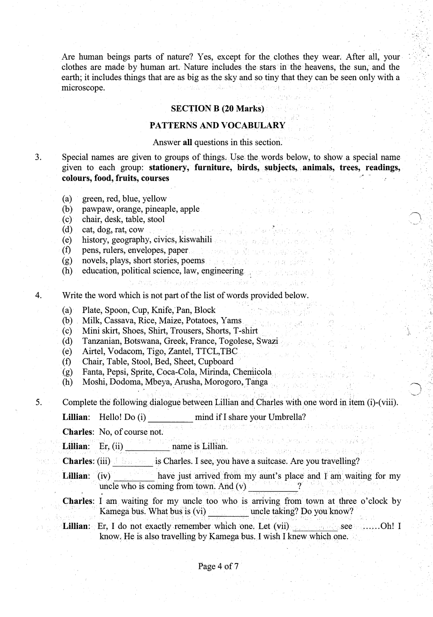Are human beings parts of nature? Yes, except for the clothes they wear. After all, your. clothes are made by human art. Nature includes the stars in the heavens, the sun, and the earth; it includes things that are as big as the sky and so tiny that they can be seen only with a ta sewiti kiti. Nasion <sup>ja</sup> kiti samboja poli microscope.

### SECTION B (20 Marks)

### PATTERNS AND VOCABULARY

#### Answer all questions in this section.

3. Special names are given to groups of things. Us.e the words below, to show a special name given to each group: stationery, furniture, birds, subjects, animals, trees, readings, colours, food, fruits, courses **and the colours** of the set of the set of the set of the set of the set of the set of the set of the set of the set of the set of the set of the set of the set of the set of the set of the s

- (a) green, red, blue, yellow
- (b) pawpaw, orange, pineaple, apple
- (c) chair, desk, table, stool
- (d) cat, dog, rat, cowers and also shared all contract specific specific specific
- (e) history, geography, civics; kiswahili
- (f) pens, rulers, envelopes, paper
- (g) novels, plays, short stories, poems
- (h) education, political science, law, engineering
- 4. Write the word which is not part of the list of words provided below.

น คนนาย์ ใช่ และเป็นค่อยไม่สารเดีย

- (a) Plate, Spoon, Cup, Knife, Pan, Block
- (b) Milk, Cassava, Rice, Maize, Potatoes, Yams
- (c) Mini skirt, Shoes, Shirt, Trousers, Shorts, T -shirt
- (d) Tanzanian, Botswana, Greek, France, Togolese, Swazi
- (e) Airtel, Vodacom, Tigo, Zantel, TTCL,TBC
- (f) Chair, Table, Stool, Bed, Sheet, Cupboard
- (g) Fanta, Pepsi, Sprite, Coca-Cola, Mirinda, Chemicola
- (h) Moshi, Dodoma, Mbeya, Arusha, Morogoro, Tanga
- 5. Complete the following dialogue between Lillian and Charles with one word in item (i)-(viii).

. . . . . . . . . . . . .

s a dhul sann ban Am Abrand

· .

'-.··'.

\ J-

Lillian: Hello! Do (i) mind if I share your Umbrella?

Charles: No, of course not.

Lillian: Er; (ii) .,..,.------- name is Lillian.

- Charles: (iii) is: is Charles. I see, you have a suitcase. Are you travelling?
- Lillian: (iv) have just arrived from my aunt's place and I am waiting for my uncle who is coming from town. And  $(v)$ .
- Charles: I am waiting for my uncle too who is arriving from town at three o'clock by Kamega bus. What bus is (vi) uncle taking? Do you know?
- Lillian: Er, I do not exactly remember which ·one. Let (vii) .see ...... Oh! I know. He is also travelling by Kamega bus. I wish I knew which one.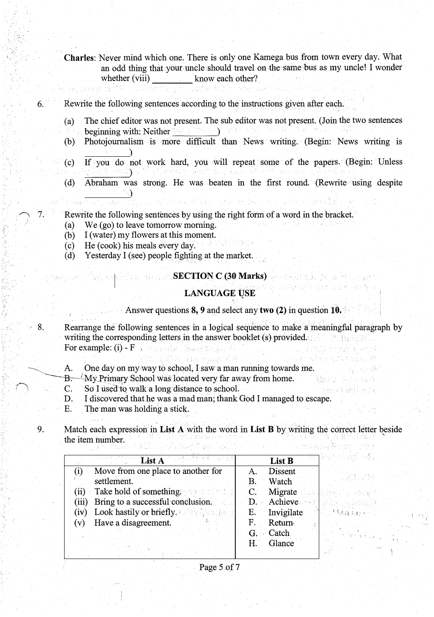Charles: Never mind which one. There is only one Kamega bus from town every day. What an odd thing that your uncle should travel on the same bus as my uncle! I wonder whether (viii) know each other?

Rewrite the following sentences according to the instructions given after each.

- (a) The chief editor was not present. The sub editor was not present. (Join the two sentences beginning with: Neither \_· \_\_\_ \_\_,
- (b) Photojournalism is more difficult than News writing. (Begin: News writing is
- If you do not work hard, you will repeat some of the papers. (Begin: Unless  $(c)$ nasan Bilim Cing )
- (d) Abraham was strong. He was beaten in the first round. (Rewrite using despite

Rewrite the following sentences by using the right form of a word in the bracket .

- (a) We (go) to leave tomorrow morning.
- (b) I (water) my flowers at this moment.
- (c) He (cook) his meals every day.

6.

 $\overline{7}$ . ,i

(d) Yesterday I (see) people fighting at the market.

# **SECTION C (30 Marks)**

## LANGUAGE USE

Answer questions 8, 9 and select any two (2) in question 10.

e calinda w

ma kanazi kucama ang kabupatèn Ka

**Representative** 

いたっぱ 不好

' 8. Rearrange the following sentences in a logical sequence to make a meaningful paragraph by writing the corresponding letters in the answer booklet (s) provided. For example:  $(i)$  -  $F_{ij}$  , and  $F_{ij}$  , the set

A. One day on my way to school, I saw a man running towards me.<br>B.  $\rightarrow$  My Primary School was located very far away from home.

...\_\_ \_\_\_ H;----LMy\_frimarySchool was located very far away from home.

C. So I used to walk a long distance to school.

D. I discovered that he was a mad man; thank God I managed to escape.

E. The man was holding a stick.

9. Match each expression in List  $A$  with the word in List  $B$  by writing the correct letter beside the item number.

| List A                                                  | result971<br>List B                    |
|---------------------------------------------------------|----------------------------------------|
| Move from one place to another for                      | Dissent<br>A <sub>1</sub>              |
| settlement.                                             | 그 모자 보고 좋은<br>Watch<br>В.              |
| Take hold of something.<br>(ii)                         | Migrate<br>$\mathbf{C}$ .<br>구나 나라 손에  |
| (iii) Bring to a successful conclusion.                 | D. Achieve<br>, General Anthony (1990) |
| <b>Look hastily or briefly.</b> Look hastily or<br>(iv) | E. Invigilate<br><b>L'Electron C</b>   |
| (v) Have a disagreement.                                | <b>Return</b><br>F.                    |
|                                                         | Catch<br>G.<br>the form of the state   |
|                                                         | Glance<br>Ή.                           |
|                                                         |                                        |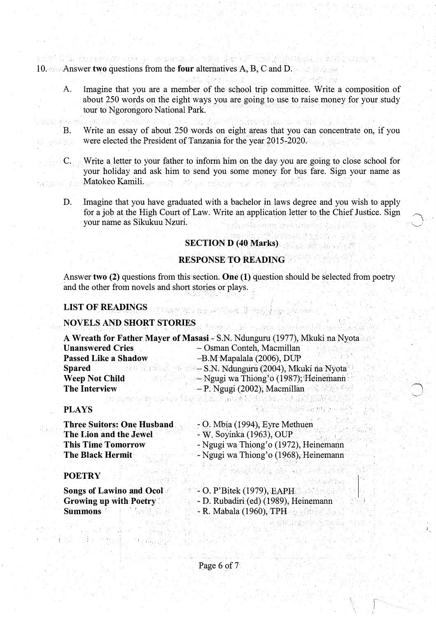10. Answer two questions from the four alternatives A, B, C and D.

tul VI link glaza reziñ naiskeza en pasokalia etiko plasmati ji bez bigir lajaka ha

- A. Imagine that you are a member of the school trip committee. Write a composition of about 250 words on the eight ways you are going to use to raise money for your study tour to Ngorongoro National Park.
- B. Write an essay of about 250 words on eight areas that you can concentrate on, if you were elected the President of Tanzania for the year 2015-2020. A.B.A.
	- ·C. Write a letter to your father to inform him on the day you are goiug to close school for your holiday and ask him to send you some money for bus fare. Sign your name as Matokeo Kamili. '
	- D. Imagine that you have graduated with a bachelor in laws degree and you wish to apply for a job at the High Court of Law. Write an application letter to the Chief Justice. Sign your name as Sikukuu Nzuri. n a bhainn an chomhair.<br>Tagairtí

### SECTION D (40 Marks)

# RESPONSE TO READING

Answer two (2) questions from this section. One (1) question should be selected from poetry and the other from novels and short stories or plays.

an the New York and the South of the special contribution of the second state of the second state of the second

#### LIST OF READINGS

# NOVELS AND SHORT STORIES

|                             | A Wreath for Father Mayer of Masasi - S.N. Ndunguru (1977), Mkuki na Nyota |
|-----------------------------|----------------------------------------------------------------------------|
| <b>Unanswered Cries</b>     | - Osman Conteh, Macmillan                                                  |
| <b>Passed Like a Shadow</b> | -B.M Mapalala (2006), DUP                                                  |
| <b>Spared</b>               | - S.N. Ndunguru (2004), Mkuki na Nyota                                     |
| <b>Weep Not Child</b>       | - Ngugi wa Thiong'o (1987); Heinemann                                      |
| <b>The Interview</b>        | - P. Ngugi (2002), Macmillan                                               |

### PLAYS

de Sur

Three Suitors: One Husband. The Lion and the Jewel This Time Tomorrow The Black Hermit  $-$  O. Mbia (1994), Eyre Methuen - W. Soyinka (1963), OUP - Ngugiwa Thiong'o (1972), Heinemann - Ngugi wa Thiong'o (1968), Heinemann

## **POETRY**

Songs of Lawino and Ocol Growing up with Poetry· <sup>S</sup>ummon<sup>s</sup> · . - <sup>0</sup>. P'Bitek (1979}, EAPH. -D. Rubadiri{ed){l989), Heinemann·  $-$  R. Mabala (1960), TPH

출장 사고

De Britânica

Worldwin an Antonibe was filled

I i